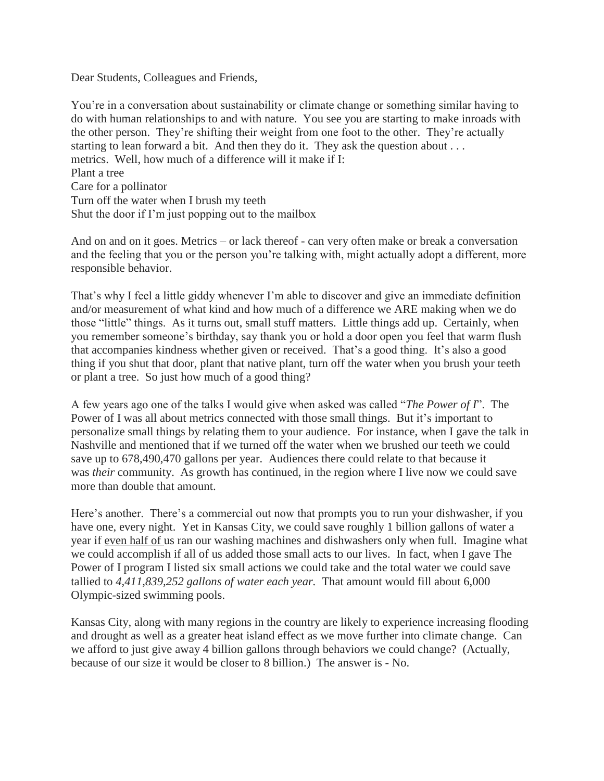Dear Students, Colleagues and Friends,

You're in a conversation about sustainability or climate change or something similar having to do with human relationships to and with nature. You see you are starting to make inroads with the other person. They're shifting their weight from one foot to the other. They're actually starting to lean forward a bit. And then they do it. They ask the question about . . . metrics. Well, how much of a difference will it make if I: Plant a tree Care for a pollinator Turn off the water when I brush my teeth Shut the door if I'm just popping out to the mailbox

And on and on it goes. Metrics – or lack thereof - can very often make or break a conversation and the feeling that you or the person you're talking with, might actually adopt a different, more responsible behavior.

That's why I feel a little giddy whenever I'm able to discover and give an immediate definition and/or measurement of what kind and how much of a difference we ARE making when we do those "little" things. As it turns out, small stuff matters. Little things add up. Certainly, when you remember someone's birthday, say thank you or hold a door open you feel that warm flush that accompanies kindness whether given or received. That's a good thing. It's also a good thing if you shut that door, plant that native plant, turn off the water when you brush your teeth or plant a tree. So just how much of a good thing?

A few years ago one of the talks I would give when asked was called "*The Power of I*". The Power of I was all about metrics connected with those small things. But it's important to personalize small things by relating them to your audience. For instance, when I gave the talk in Nashville and mentioned that if we turned off the water when we brushed our teeth we could save up to 678,490,470 gallons per year. Audiences there could relate to that because it was *their* community. As growth has continued, in the region where I live now we could save more than double that amount.

Here's another. There's a commercial out now that prompts you to run your dishwasher, if you have one, every night. Yet in Kansas City, we could save roughly 1 billion gallons of water a year if even half of us ran our washing machines and dishwashers only when full. Imagine what we could accomplish if all of us added those small acts to our lives. In fact, when I gave The Power of I program I listed six small actions we could take and the total water we could save tallied to *4,411,839,252 gallons of water each year.* That amount would fill about 6,000 Olympic-sized swimming pools.

Kansas City, along with many regions in the country are likely to experience increasing flooding and drought as well as a greater heat island effect as we move further into climate change. Can we afford to just give away 4 billion gallons through behaviors we could change? (Actually, because of our size it would be closer to 8 billion.) The answer is - No.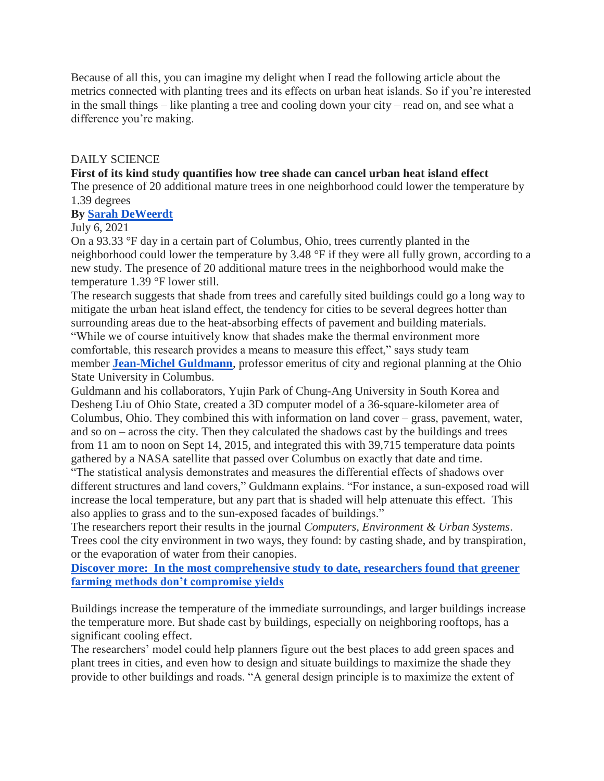Because of all this, you can imagine my delight when I read the following article about the metrics connected with planting trees and its effects on urban heat islands. So if you're interested in the small things – like planting a tree and cooling down your city – read on, and see what a difference you're making.

## DAILY SCIENCE

## **First of its kind study quantifies how tree shade can cancel urban heat island effect**

The presence of 20 additional mature trees in one neighborhood could lower the temperature by 1.39 degrees

## **By [Sarah DeWeerdt](https://www.anthropocenemagazine.org/author/sarah-deweerdt/)**

## July 6, 2021

On a 93.33 °F day in a certain part of Columbus, Ohio, trees currently planted in the neighborhood could lower the temperature by 3.48 °F if they were all fully grown, according to a new study. The presence of 20 additional mature trees in the neighborhood would make the temperature 1.39 °F lower still.

The research suggests that shade from trees and carefully sited buildings could go a long way to mitigate the urban heat island effect, the tendency for cities to be several degrees hotter than surrounding areas due to the heat-absorbing effects of pavement and building materials. "While we of course intuitively know that shades make the thermal environment more comfortable, this research provides a means to measure this effect," says study team member **[Jean-Michel Guldmann](https://knowlton.osu.edu/people/guldmann.1)**, professor emeritus of city and regional planning at the Ohio State University in Columbus.

Guldmann and his collaborators, Yujin Park of Chung-Ang University in South Korea and Desheng Liu of Ohio State, created a 3D computer model of a 36-square-kilometer area of Columbus, Ohio. They combined this with information on land cover – grass, pavement, water, and so on – across the city. Then they calculated the shadows cast by the buildings and trees from 11 am to noon on Sept 14, 2015, and integrated this with 39,715 temperature data points gathered by a NASA satellite that passed over Columbus on exactly that date and time.

"The statistical analysis demonstrates and measures the differential effects of shadows over different structures and land covers," Guldmann explains. "For instance, a sun-exposed road will increase the local temperature, but any part that is shaded will help attenuate this effect. This also applies to grass and to the sun-exposed facades of buildings."

The researchers report their results in the journal *Computers, Environment & Urban Systems*. Trees cool the city environment in two ways, they found: by casting shade, and by transpiration, or the evaporation of water from their canopies.

**[Discover more: In the most comprehensive study to date, researchers found that greener](https://www.anthropocenemagazine.org/2020/11/farming-that-embraces-nature-doesnt-lose-out-on-yields/)  [farming methods don't compromise yields](https://www.anthropocenemagazine.org/2020/11/farming-that-embraces-nature-doesnt-lose-out-on-yields/)**

Buildings increase the temperature of the immediate surroundings, and larger buildings increase the temperature more. But shade cast by buildings, especially on neighboring rooftops, has a significant cooling effect.

The researchers' model could help planners figure out the best places to add green spaces and plant trees in cities, and even how to design and situate buildings to maximize the shade they provide to other buildings and roads. "A general design principle is to maximize the extent of